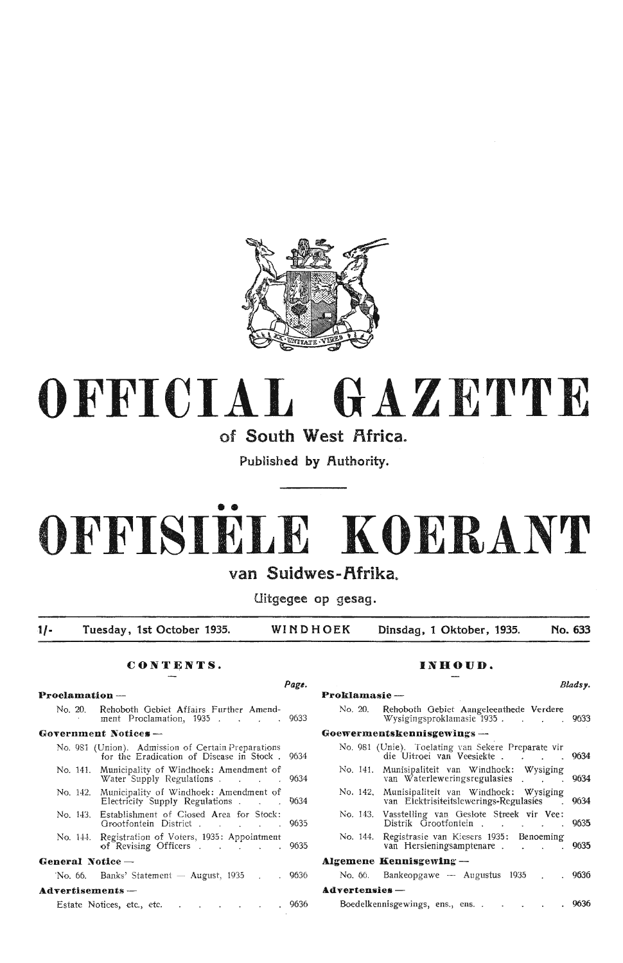

# **OFFICIAL GAZETTE**

**of South West Africa.** 

Published by Authority.

# •• **OFFISIELE KOERANT**

## van Suidwes-Afrika.

**Uitgegee op gesag.** 

**t/- Tuesday, 1st October 1935. WINDHOEK Dinsdag, 1 Oktober, 1935. No. 633** 

## **CONTENTS. INHOUD.**

## **Proclamation - Proklamasie** - No. 20. Rehoboth Oebiet Affairs Further Amendment Proclamation, 1935 . . . . 9633 Government Notices --No. 981 (Union). Admission of Certain Preparations<br>for the Fradication of Disease in Stock 9634 for the Eradication of Disease in Stock. No. 141. Municipality of Windhoek : Amendment of Water Supply Regulations . . . . 9634 No. 142. Municipality of Windhoek: Amendment of Electricity Supply Regulations Electricity Supply Regulations .  $\blacksquare$ No. 143. Establishment of Ciosed Area for Stock: Grootfontein District . . . . . 9635 No. 144. Registration of Voters, 1935: Appointment of Revising Officers . . . . . 9635 General Notice — 'No. 66. Banks' Statement - August, 1935 . . 9636 **Advertisements** -

## Estate Notices, etc., etc. . . . . . . . 9636

| Page. |                                                                                          | Bladsy. |
|-------|------------------------------------------------------------------------------------------|---------|
|       | Proklamasie-                                                                             |         |
| 9633  | Rehoboth Gebiet Aangeleenthede Verdere<br>No. 20.<br>Wysigingsproklamasie 1935. 9633     |         |
|       | Goewermentskennisgewings --                                                              |         |
| 9634  | No. 981 (Unie). Toelating van Sekere Preparate vir<br>die Uitroei van Veesiekte          | 9634    |
| 9634  | No. 141. Munisipaliteit van Windhoek: Wysiging<br>van Waterleweringsregulasies           | 9634    |
| 9634  | No. 142, Munisipaliteit van Windhoek: Wysiging<br>van Elektrisiteitslewerings-Regulasies | 9634    |
| 9635  | No. 143. Vasstelling van Geslote Streek vir Vee:<br>Distrik Grootfontein                 | 9635    |
| 9635  | Registrasie van Kiesers 1935: Benoeming<br>No. 144.<br>van Hersieningsamptenare          | 9635    |
|       | Algemene Kennisgewing —                                                                  |         |
| 9636  | No. 66. Bankeopgawe — Augustus 1935.                                                     | .9636   |
|       | Advertensies-                                                                            |         |
| 9636  | Boedelkennisgewings, ens., ens<br>and the company of the                                 | 9636    |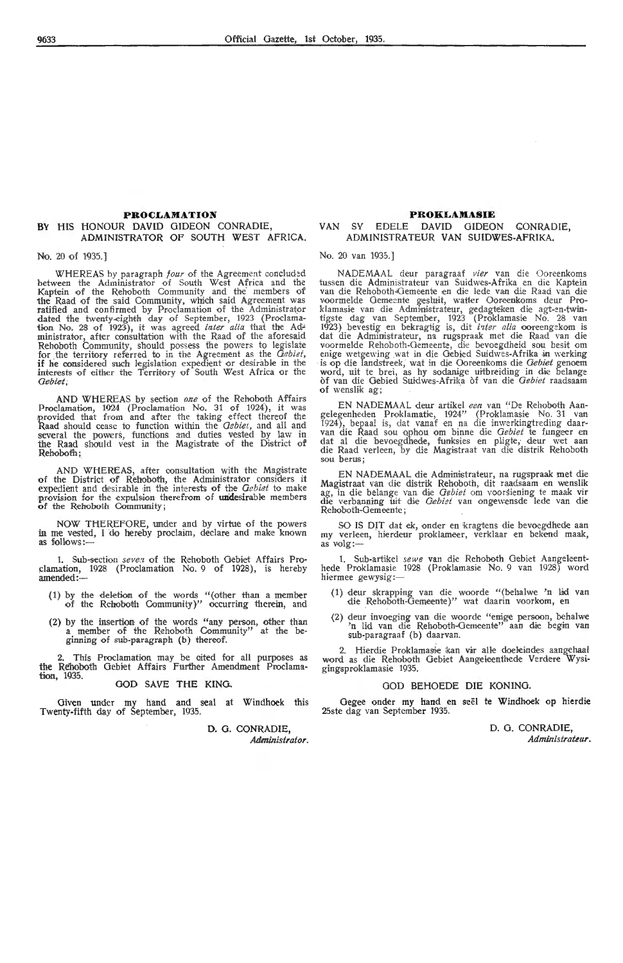## **PROCLAMATION BY** HIS HONOUR DAVID GIDEON CONRADIE, ADMINISTRATOR OF SOUTH WEST AFRICA.

No. 20 of 1935.]

WHEREAS by paragraph *four* of the Agreement concluded between the Administrator of South West Africa and the Kaptein of the Rehoboth Community and the members of the Raad of the said Community, which said Agreement was ratified and confirmed by Pmclamation of the Administrator dated the twenty-eighth day of September, 1923 (Proclama-<br>tion No. 28 of 1923), it was agreed *inter alia* that the Ad<sup>2</sup> ministrator, after consultation with the Raad of the aforesaid Rehoboth Community, should possess the powers to legislate for the territory referred to in the Agreement as the *Gebiet*,<br>if he considered such legislation expedient or desirable in the intenests of either the Territory of South West Africa or the *Oebiet;* 

AND WHEREAS by section one of the Rehoboth Affairs Proclamation, 1924 (Proclamation No. 31 of 1924), it was provided that from and after the taking effect thereof the Raad should cease to function within the *Oebiet,* and all and several the powers, functions and duties vested by law in the Raad should vest in the Magistrate of the District of Rehoboth;

AND WHEREAS, after consultation with the Magistrate of the District of Rehoboth, the Administrator considers it expedient and desirable in the interests of the *Gebiet* to make provision for the expulsion therefrom of undesirable members **of** the Rehoboth Community;

NOW THEREFORE, under and by virtue of the powers in me vested, I do hereby proclaim, declare and make known as follows:-

1. Sub-section *seven* of the Rehoboth Gebiet Affairs Proclamation, 1928 (Proclamation No. 9 of 1928), is hereby amended:—

- (1) by the deletion of the words "(other than a member of the Rehoboth Community)" occurring therein, and
- (2) by the insertion of the words "any person, other than a member of the Rehoboth Community" at the beginning of sub-paragraph (b) thereof.

2. This Proclamation may be cited for all purposes as the Rehoboth Gebiet Affairs Further Amendment Proclamation, 1935. **GOD SAVE THE KING.** 

Given under my hand and seal at Windhoek this Twenty-fifth day of September, 1935.

> **D.** G. CONRADIE, *Administrator.*

## **PROKLAMASIE** VAN SY EDELE DAVID GIDEON CONRADIE, ADMINISTRATEUR VAN SUIDWES-AFRIKA.

No. 20 van 1935.]

NADEMAAL deur paragraaf *vier* van die Ooreenkoms tussen die Administrateur van Suidwes-Afrika en die Kaptein<br>van die Rehoboth-Gemeente en die lede van die Raad van die voormelde Gemeente gesluit, watter Ooreenkoms deur Proklamasie van die Administrateur, gedagteken die agt-en-twintigste dag van September, 1923 (Proklamasie No. 28 van<br>1923) bevestig en bekragtig is, dit *inter alia* ooreengekom is dat die Administrateur, na rugspraak met die Raad van die<br>voormelde Rehoboth-Oemeente, die bevoegdheid sou besit om<br>enige wetgewing wat in die Oebied Suidwes-Afrika in werking is op die landstreek, wat in die Ooreenkoms die *Gebiet* genoem<br>word, uit te brei, as hy sodanige uitbreiding in die belange of van die Gebied Suidwes-Afri:ka of van die *Oebiet* raadsaam  $\sigma$ f wenslik ag;  $\sigma$ 

EN NADEMAAL deur artikel een van "De Rehoboth Aangelegenheden Proklamatie, 1924" (Proklamasie No. 31 van 1924), bepaal is, dat vanaf en na die inwerkingtreding daarvan die Raad sou ophou om binne die *Gebiet* te fungeer en dat al die bevoegdhede, funksies en pligte, deur

EN NADEMAAL die Administrateur, na rugspraak met die Magistraat van die distrik Rehoboth, dit raadsaam en wenslik ag, in die belange van die *Gebiet* om voorsiening te maak vir die verbanning uit die *Gebiet* van ongewensde lede van die Rehoboth-Gemeente ;

SO IS DIT dat ek, onder en kragtens die bevoegdhede aan my verleen, hierdeur proklameer, verklaar en bekend maak, as volg:-

1. Sub-artikel *sewe* van die Rehoboth Gebiet Aangeleent-<br>hede Proklamasie 1928 (Proklamasie No. 9 van 1928) word hiermee gewysig :-

- (1) deur skrapping van die woorde "(behalwe 'n li<d van die Rehoboth-Gemeente)" wat daarin voorkom, •en
- (2) deur invoeging van die woorde "enige persoon, behalwe 'n lid van die Rehoboth-Gemeente" aan die begin van<br>sub-paragraaf (b) daarvan.

2. Hierdie Proklamasie kan vir alle doeleindes aangehaal word as die Rehoboth Gebiet Aangeleenthede Verdere Wysigingsp roklamasie 1935.

## GOD BEHOEDE DIE KONING.

Oegee onder my hand en seel te Windhoek op hierdie 25ste dag van September 1935.

> D. G. CONRADIE, *Administrateur* ..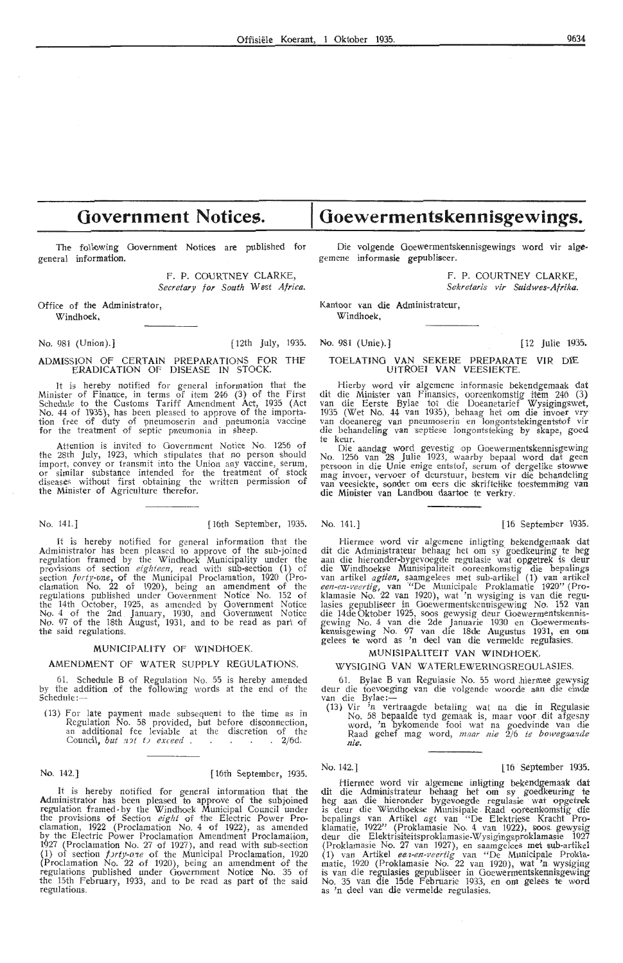# **Government Notices.**

The following Government Notices are published for general information.

> F. P. COURTNEY CLARKE, *Secretary for South West Africa.*

Office of the Administrator, Windhoek.

No. 981 (Union).] [12th July, 1935.

#### ADMISSION OF CERTAIN PREPARATIONS FOR THE ERADICATION OF DISEASE IN STOCK.

It is hereby notified for general information that the Minister of Finance, in terms of item 246 (3) of the First Schedule to the Customs Tariff Amendment Act, 1935 (Act No. 44 of 1935), has been pleased to apprnve of the importation free of duty of pneumoserin and pneumonia vaccine for the treatment of septic pneumonia in sheep.

Attention is invited to Government Notice No. 1256 of the 28th July, 1923, which stipulates that no person should import, convey or transmit into the Union any vaccine, serum, or similar substance intended for the treatment of stock diseases without first obtaining the written permission of the Minister of Agriculture therefor.

### No. 141.] [16th September, 1935. No. 141.] [16 September 1935.

It is hereby notified for general information that the Administrator has been pleased to approve of the sub-joined regulation framed by the Windhoek Municipality under the provisions of section *eighteen,* read with sub-section (1) of section *forty-one,* of the Municipal Proclamation, 1920 (Proclamation No. 22 of 1920), being an amendment of the regulations published under Government Notice No. 152 of the 14th October, 1925, as amended by Gov**ernment** Notice<br>No. 4 of the 2nd January, 1930, and Government Notice<br>No. 97 of the 18th August, 1931, and to be read as part of the said regulations.

## MUNICIPALITY OF WINDHOEK.

## AMENDMENT OF WATER SUPPLY REGULATIONS.

61. Schedule B of Regulation No. 55 is hereby amended by the addition .of the following words at the end of the Schedule:-

(13) For late payment made subsequent to the time as in Regulation No. 58 provided, but before disconnection, Regulation No. 58 provided, but before disconnection,<br>an additional fee leviable at the discretion of the Council, *but not to exceed* . . . . . 2/6d.

## No. 142.] [ 16th September, 1935.

It is hereby notified for general intormation that the Administrator has been pleased to approve of the subjoined regulation framed• by the Windhoek Municipal Council under<br>the provisions of Section *eight* of the Electric Power Proclamation, 1922 (Proclamation No. 4 of 1922), as amended by the Electric Power Proclamation Amendment Proclamation, 1927 (Proclamation No. 27 of 1927), and read with sub-section (1) of section  $f$ *Jrty-one* of the Municipal Proclamation, 1920 (Proclamation No. 22 of 1920), being an amendment of the regulations published under Government Notice No. 35 of the 15th February, 1933, and to be read as part of the said regulations.

Die volgende Goewermentskennisgewings word vir alge. gemene informasie gepubliseer.

**Goewermentskennisgewings.** 

F. P. COURTNEY CLARKE, *Sekretaris vir Suidwes-Afrika.* 

Kantoor van die Administrateur, Windhoek,

No. 981 (Unie).] [12 Julie 1935.

## TOELATING VAN SEKERE PREPARATE VIR DIE UITROEI VAN VEESIEKTE.

Hierby word vir algemene informasie bekendgemaak dat dit die Minister van Finansies, ooreenkomstig item 246 (3)<br>van die Eerste Bylae tot die Doeanetarief Wysigingswet, 1935 (Wet No. 44 van 1935), behaag het om die invoer vry<br>van doeanereg van pneumoserin en longontstekingentstof vir die behandeling van septiese longontsteking by skape, goed te keur.

Die aandag word gevestig op Goewermentskennisgewing No. 1256 van 28 Julie 1923, waarby bepaal word dat geen<br>persoon in die Unie enige entstof, serum of dergelike stowwe mag invoer, vervoer of deurstuur, bestem vir die behandeling van veesiekte, sonder om eers die skriftelike toestemming van die Minister van Landbou daartoe te verkry.

Hiermee word vir algemene inligting bekendgemaak dat dit die Administrateur behaag het om sy goedkeuring te heg<br>aan die hieronder-bygevoegde regulasie wat opgetrek is deur die Windhoekse Munisipaliteit ooreenkomstig die bepalings<br>van artikel *agtien,* saamgelees met sub-artikel (1) van artikel<br>*een-en-veertig,* van <sup>"(</sup>De Municipale Proklamatie 1920'' (Proklamasie No. 22 van 1920), wat 'n wysiging is van die regulasies gepubliseer in Goewermentskennisgewing No. 152 van<br>die 14de Oktober 1925, soos gewysig deur Goewermentskennisgewing No. 4 van die 2de Januarie 1930 en Goewerments-<br>kennisgewing No. 97 van die 18de Augustus 1931, en om: gelees te word as 'n deel van die vermelde regulasies.

## MUNJSIPALITEIT VAN WINDHOEK.

## WYSIGING **VAN** WATERLEWERINGSREGULASIES.

61. Bylae B van Regulasie No. 55 word hiermee gewysig deur die toevoeging van die volgende woorde aan die einde<br>van die Bylae:---

(13) Vir 'n vertraagde betaling wat na die in Regulasie No. 58 bepaalde tyd gemaak is, maar voor. dit afgesny word, 'n bylmmende fooi wat na goedvinde van die Raad gehef mag word, *maar nie* 2/6 le *bowegaa:zde nie.* 

## No. 142.] [ 16 September 1935.

## Hiermee word vir algemene inligting bekendgemaak dat dit die Administrateur behaag het om sy goedkeuring te heg aan die hieronder bygevoegde regulasie wat opgetrek is deur die Windhoekse Munisipale Raad ooreenkomstig die bepalings van Artikel *agt* van "De Elektriese Kracht Proklamatie, 1922" (Proklamasie No. 4 van 1922), soos. gewysig deur die Elektrisiteitsproklamasie-Wysigingsproklamasie 1927 (Proklamasie No. 27 van 1927), en saamgelees met sub-artikel (1) van Artikel een-en-veertig van "De Municipale Proklamatie, 1920 (Proklamasie No. 22 van 1920), wat 'n wys1ging is van die regulasies gepubliseer in Goewermentskennisgewing No. 35 van die 15de Februarie 1933, en om gelees te word<br>as 'n deel van die vermelde regulasies.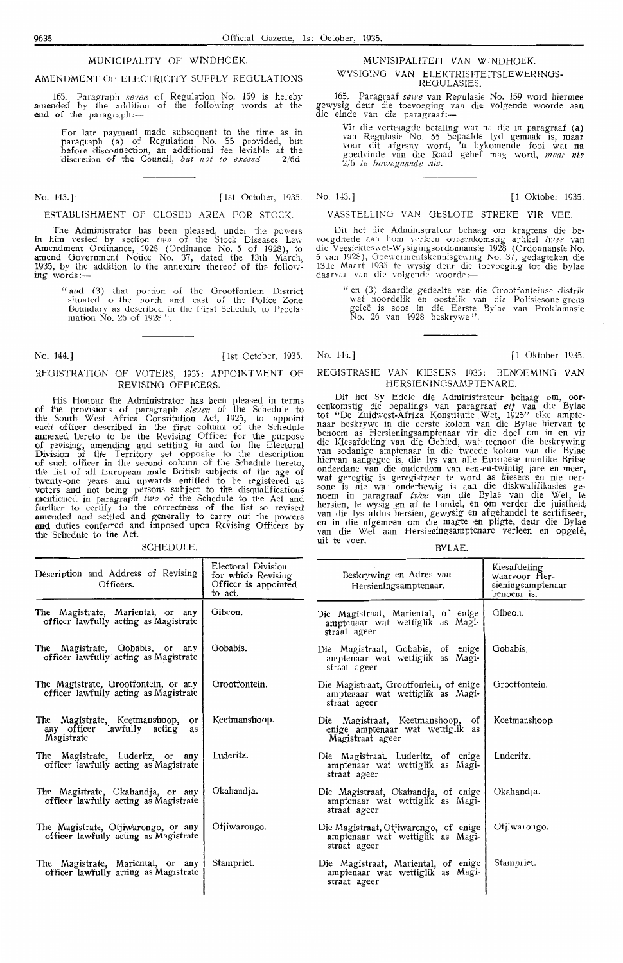## MUNICIPALITY OF WINDHOEK.

### AMENDMENT OF ELECTRICITY SUPPLY REGULATIONS

165. Paragraph *seven* of Regulation No. 159 is hereby amended by the addition of the following words at the end of the paragraph:-

> For late payment made subsequent to the time as in<br>paragraph (a) of Regulation No. 55 provided, but before disconnection, an additional fee leviable at the<br>discretion of the Council, *but not to exceed* 2/6d

No. 143.] **115 Cellular** 1935.

#### ESTABLISHMENT OF CLOSED AREA FOR STOCK.

The Administrator has been pleased, under the powers in him vested by section  $two$  of the Stock Diseases Law Amendment Ordinance, 1928 (Ordinance No. 5 of 1928), to amend Government Notioe No. 37, dated the 13th March, 1935, by the addition to the annexure thereof of the following words:-

> " and (3) that portion of the Grootfontein District situated to the north and east of the Police Zone Boundary as described in the First Schedule *to* Proclamation No. 26 of 1928".

No. 144.] [1 Oktober, 1935. No. 144.] [1 Oktober 1935] [1 Oktober 1935]

## REGISTRATION OF VOTERS, 1935: APPOINTMENT OF REVISING OFFICERS.

liis Honour th!e Administrator has been pleased in terms **of** the provisions of paragraph *eleven* of the Schedule to the South West Africa Constitution Act, 1925, to appoint each officer described in the first column of the Schedule annexed hereto to be the Revising Officer for the purpose of revising, amending and settling in and for the Electoral Division of the Territory set opposite to the description of suchi officer in the seoond column of the Schedule hereto, the list of all European male British subjects of the age of twenty-one years and upwards entitled to be registered as voters and not being persons subject to the disqualifications mentioned in paragraph two of the Schedule to the Act and further to certify to the correctness of the list so revised amended and settled and generally to carry out the powers and duties conferred and imposed upon Revising Officers by the Schedule to the Act.

**SCHEDULE** 

## **MUNISIPALITEIT VAN WINDHOEK.**  WYSIGING VAN ELEKTRISITEITSLEWERINGS-

REGULASIES.<br>165. Paragraaf sewe van Regulasie No. 159 word hiermee 165. Paragraaf sewe van Regulasie No. 159 word hiermee gewysig deur die toevoeging van die volgende woorde aan die einde van die paragraaf:-

Vir die vertraagde betaltng wat na die in paragraaf **(a)** van Regulasie No. 55 bepaalde tyd gemaak is, **maar** voor dit afgesny word, '.n bykomende fooi wat **na**  goedvinde van die Raad gehef mag word, maar nie  $\overline{2}/6$  *te bowegaande nie.* 

No. 143.] [1 Oktober 1935.

## V ASSTELLING VAN OESLOTE STREKE VIR VEE.

Dit het die Administrateur behaag om kragtens die be-voegdhede aan hom verken ooreenkomstig artikel *twee* van die Veesiekteswet-Wysigingsordonnansie 1928 (Ordonnansie No. 5 van 1928), Ooewermentskennisgewing No. 37, gedagkken die 13de Maart 1935 te wysig deur die toevoeging tot die bylae<br>daarvan van die volgende woorde:—

" en (3) daardie gedeelte van die Grootfonteinse distrik wat noordelik en oostelik van die Polisiesone-grens<br>geleë is soos in die Eerste Bylae van Proklamasie No. 26 van 1928 beskrywe " .

## REGISTRASIE VAN KIESERS 1935: BENOEMING **VAN**  HERSIENINGSAMPTENARE.

Dit het Sy Edele die Administrateur behaag om, oor-<br>eenkomstig die bepalings van paragraaf elf van die Bylae tot "De Zuidwest-Afrika Konstitutie Wet\_, 1925" elke ampte- naar bes'krywe in die eerste kolom van die Bylae hiervan te benoem as Hersieningsamptenaar vir die doe! om in en vir die Kiesafdeling van die Gebied, wat teenoor die beskrywing van sodanige amptenaar in die tweede kolom van die Bylae hiervan aangegee is, die lys van alle Europese manlike Britse onderdane van die ouderdom van een-en-twintig jare en meer, wat geregtig is geregistrcer te word as kiesers en nie per- sone is nie wat onderhewig is aan die diskwalifikasies ge- noem in paragraaf *tw'ee* van die Bylae van die Wet, te hersien, te wysig en af te handel, en om verder die juistheid, van die lys aldus hersien, gewysig en afgehandel te sertifiseer, en in die algemeen om die magte en pligte, deur die Bylae van die Wet aan Hersieningsamptenare uit te voer. BYLAE.

| Description and Address of Revising<br>Officers.                                          | Electoral Division<br>for which Revising<br>Officer is appointed<br>to act. | Beskrywing en Adres van<br>Hersieningsamptenaar.                                           | Kiesafdeling<br>waarvoor Her-<br>sieningsamptenaar<br>benoem is. |  |
|-------------------------------------------------------------------------------------------|-----------------------------------------------------------------------------|--------------------------------------------------------------------------------------------|------------------------------------------------------------------|--|
| The Magistrate, Mariental, or any<br>officer lawfully acting as Magistrate                | Gibeon.                                                                     | Die Magistraat, Mariental, of enige<br>amptenaar wat wettiglik as Magi-<br>straat ageer    | Gibeon.                                                          |  |
| The Magistrate, Gobabis, or any<br>officer lawfully acting as Magistrate                  | Gobabis.                                                                    | Die Magistraat, Gobabis, of enige<br>amptenaar wat wettiglik as Magi-<br>straat ageer      | Gobabis.                                                         |  |
| The Magistrate, Grootfontein, or any<br>officer lawfully acting as Magistrate             | Grootfontein.                                                               | Die Magistraat, Grootfontein, of enige<br>amptenaar wat wettiglik as Magi-<br>straat ageer | Grootfontein.                                                    |  |
| The Magistrate, Keetmanshoop, or<br>lawfully<br>any officer<br>acting<br>as<br>Magistrate | Keetmanshoop.                                                               | Die Magistraat, Keetmanshoop, of<br>enige amptenaar wat wettiglik as<br>Magistraat ageer   | Keetmanshoop                                                     |  |
| The Magistrate, Luderitz, or any<br>officer lawfully acting as Magistrate                 | Luderitz.                                                                   | Die Magistraat, Luderitz, of enige<br>amptenaar wat wettiglik as Magi-<br>straat ageer     | Luderitz.                                                        |  |
| The Magistrate, Okahandja, or any<br>officer lawfully acting as Magistrate                | Okahandja.                                                                  | Die Magistraat, Okahandja, of enige<br>amptenaar wat wettiglik as Magi-<br>straat ageer    | Okahandja.                                                       |  |
| The Magistrate, Otjiwarongo, or any<br>officer lawfully acting as Magistrate              | Otiiwarongo.                                                                | Die Magistraat, Otjiwarongo, of enige<br>amptenaar wat wettiglik as Magi-<br>straat ageer  | Otiiwarongo.                                                     |  |
| The Magistrate, Mariental, or any<br>officer lawfully acting as Magistrate                | Stampriet.                                                                  | Die Magistraat, Mariental, of enige<br>amptenaar wat wettiglik as Magi-<br>straat ageer    | Stampriet.                                                       |  |
|                                                                                           |                                                                             |                                                                                            |                                                                  |  |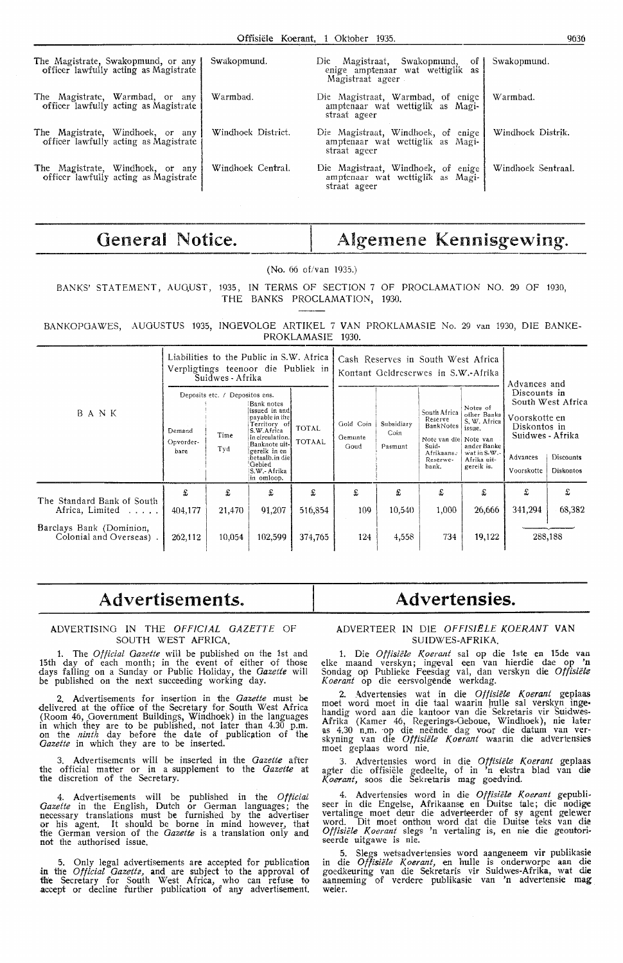| The Magistrate, Swakopmund, or any<br>officer lawfully acting as Magistrate | Swakopmund.        | Die Magistraat, Swakopmund,<br>οf<br>enige amptenaar wat wettiglik as                                  | Swakopmund.        |
|-----------------------------------------------------------------------------|--------------------|--------------------------------------------------------------------------------------------------------|--------------------|
| The Magistrate, Warmbad, or any<br>officer lawfully acting as Magistrate    | Warmbad.           | Magistraat ageer<br>Die Magistraat, Warmbad, of enige<br>amptenaar wat wettiglik as Magi-              | Warmbad.           |
| The Magistrate, Windhoek, or any<br>officer lawfully acting as Magistrate   | Windhoek District. | straat ageer<br>Die Magistraat, Windhoek, of enige<br>amptenaar wat wettiglik as Magi-                 | Windhock Distrik.  |
| The Magistrate, Windhoek, or any<br>officer lawfully acting as Magistrate   | Windhoek Central.  | straat ageer<br>Die Magistraat, Windhoek, of enige<br>amptenaar wat wettiglik as Magi-<br>straat ageer | Windhoek Sentraal. |

## General Notice.

## Algemene Kennisgewing.

(No. 66 of/van 1935.)

BANKS' STATEMENT, AUGUST, 1935, IN TERMS OF SECTION 7 OF PROCLAMATION NO. 29 OF 1930, THE BANKS PROCLAMATION, 1930.

BANKOPGAWES, AUGUSTUS 1935, INGEVOLGE ARTIKEL 7 VAN PROKLAMASIE No. 29 van 1930, DIE BANKE-PROKLAMASIE 1930.

|                                                     | Liabilities to the Public in S.W. Africa<br>Verpligtings teenoor die Publiek in<br>Suidwes - Afrika |                                               |                                                                                                                                                                                             |                               | Cash Reserves in South West Africa<br>Kontant Geldreserwes in S.W.-Afrika |                               |                                                                                                            |                                                                                                               | Advances and                                                                                |                                                    |
|-----------------------------------------------------|-----------------------------------------------------------------------------------------------------|-----------------------------------------------|---------------------------------------------------------------------------------------------------------------------------------------------------------------------------------------------|-------------------------------|---------------------------------------------------------------------------|-------------------------------|------------------------------------------------------------------------------------------------------------|---------------------------------------------------------------------------------------------------------------|---------------------------------------------------------------------------------------------|----------------------------------------------------|
| BANK                                                | Demand<br>Opvorder-<br>bare                                                                         | Deposits etc. / Depositos ens.<br>Time<br>Tyd | Bank notes<br>lissued in andl<br>payable in the<br>Territory of<br>S.W.Africa<br>in circulation.<br>Banknote uit-<br>gereik in en<br>betaalb.in diel<br>Gebied<br>S.W. Afrika<br>in omloop. | <b>TOTAL</b><br><b>TOTAAL</b> | Gold Coin<br>Gemunte<br>Goud                                              | Subsidiary<br>Coin<br>Pasmunt | South Africa<br>Reserve<br>BankNotes<br>Note van diel Note van<br>Suid-<br>Afrikaanse<br>Reserwe-<br>bank. | Notes of<br>other Banks<br>S. W. Africa<br>issue.<br>ander Banke<br>wat in S.W.-<br>Afrika uit-<br>gereik is. | Discounts in<br>Voorskotte en<br>Diskontos in<br>Suidwes - Afrika<br>Advances<br>Voorskotte | South West Africa<br>Discounts<br><b>Diskontos</b> |
| The Standard Bank of South<br>Africa, Limited       | £<br>404,177                                                                                        | £<br>21,470                                   | £<br>91,207                                                                                                                                                                                 | £<br>516,854                  | £<br>109                                                                  | £<br>10,540                   | £<br>1,000                                                                                                 | £<br>26,666                                                                                                   | £<br>341,294                                                                                | £<br>68,382                                        |
| Barclays Bank (Dominion,<br>Colonial and Overseas). | 262,112                                                                                             | 10,054                                        | 102,599                                                                                                                                                                                     | 374,765                       | 124                                                                       | 4,558                         | 734                                                                                                        | 19,122                                                                                                        |                                                                                             | 288,188                                            |

## **Advertisements~**

## ADVERTISING IN THE *OFFICIAL GAZETTE* OF SOUTH WEST AFRICA.

1. The *Official Gazette* will be published on the 1st and 15th day of each month; in the event of either of those days falling on a Sunday or Public Holiday, the *Gazette* will be published on the next sucoeeding working day.

2. Advertisements for insertion in the *Gazette* must be delivered at the office of the Secretary for South West Africa (Room 46, Government Buildings, Windhoek) in the languages in which they are to be published, . not later than 4.30 p.m. on the *ninth* day before the date of publication of the *Gazette* in which they are to be inserted.

3. Advertisements wili be inserted in the *Gazette* after the official matter or in a supplement to the *Gazette* at the discretion of the Secretary.

4. Advertisements will be published in the *Official Gazette* in the English, Dutch or German languages; the necessary translations must be furnished by the advertiser or his agent. It should be borne in mind however, that the German version of the *Gazette* is a translation only and not the authorised issue.

5. Only legal advertisements are accepted for publication in the *Official Gazette,* and are subject to the approval of the Secretary for South West Africa, who can refuse to accept or decline further publication of any advertisement.

## **Advertensies.**

## ADVERTEER IN DlE *OFFISIELE KOERANT* VAN SUIDWES-AFRIKA.

1. Die *Offisiële Koerant* sal op die 1ste en 15de van elke maand verskyn; ingeval een van hierdie dae op 'n Sondag op Publieke Feesdag val, dan verskyn die *Offisiële*<br>*Koerant* op die eersvolgende werkdag.

2. Advertensies wat in die *Offisiele Koerant* geplaas moet word moet in die taal waarin hulle sal verskyn ingehandig word aan die kantoor van die Sekretaris vir Suidwes-Afrika (Kamer 46, Regerings-Geboue, Windhoek), nie later<br>as 4.30 n.m. op die neënde dag voor die datum van verskyning van die *Offisiele Koerant* waarin die advertenstes moet geplaas word nie.

3. Advertensies word in die *Offisiele Koerant* geplaas agter die offisiële gedeelte, of in 'n ekstra blad van die *K.oerant,* soos die Sekretaris mag goedvind.

4. Advertensies word in die Offisiële Koerant gepubli-<br>seer in die Engelse, Afrikaanse en Duitse tale; die nodige vertalinge moet deur die adverteerder of sy agent gelewer word. Dit moet onthou word dat die Duitse teks van die Offisiele Koerant slegs 'n vertaling is, en nie die geoutoriseerde uitgawe is nie.

5. Slegs wetsadvertensies word aangeneem vir publikasie in die *Offisiële Koerant*, en hulle is onderworpe aan die goedkeuring van die Sekretaris vir Suidwes-Afrika, wat die aanneming of verdere publikasie van 'n advertensie mag weier.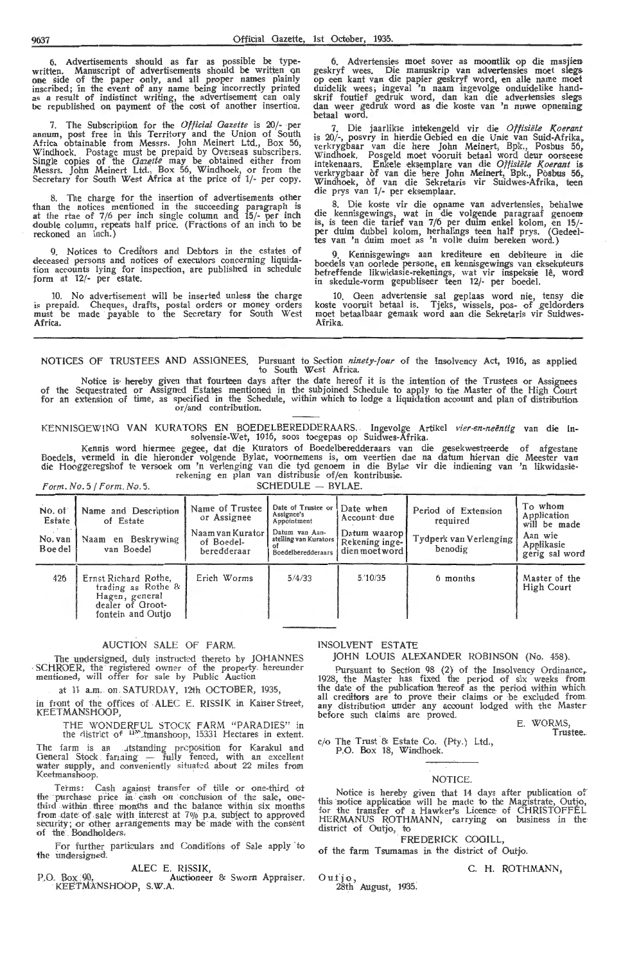6. Advertisements should as far as possible be type-<br>written. Manuscript of advertisements should be written on<br>one side of the paper only, and all proper names plainly inscribed; in the event of any name being incorrectly printed as a result of indistinct writing, the advertisement can only be republished on payment of the cost of another insertion.

7. The Subscription for the *Official Gazette* is 20/- per annum, post free in this Territory and the Union of South Africa obtainable from Messrs. John Meinert Ltd., Box 56, Windhoek. Postage must be prepaid by Overseas subscribers.<br>Single copies of the *Qazette* may be obtained either from Messrs. John Meinert Ltd., Box 56, Windhoek, or from the<br>Secretary for South West Africa at the price of 1/- per copy.

8. The charge for the insertion of advertisements other than the notices mentioned in the succeeding paragraph is at the rtae of 7/6 per inch single column and 15/- per inch double column, repeats half price. (Fractions of an inch to be reckoned an inch.)

9. Notices to Creditors and Debtors in the estates of deceased persons and notices of executors concerning liquidation accounts lying for inspection, are published in schedule form at 12/- per estate.

10. No advertisement will be inserted unless the charge is prepaid. Cheques, drafts, postal orders or money orders must be made payable to the Secretary for South West Africa.

6. Advertensies moet sover as moontlik op die masjien geskryf wees. Die manuskrip van advertensies moet slegs op een kant van die papier geskryf word, en alle name moet<br>duidelik wees; ingeval 'n naam ingevolge onduidelike handskrif foutief gedruk word, dan kan die advertensies slegs dan weer gedruk word as die koste van 'n nuwe opneming betaal word.

7. Die jaarlikse intekengeld vir die Offisiële Koerant is 20/-, posvry in hierdie Gebied en die Unie van Suid-Afrika, verkrygbaar van die here John Meinert, Bpk., Posbus 56, Windhoek. Posgeld moet vooruit betaal word deur oorseese<br>intekenaars. Enkele eksemplare van die *Offisiële Koerant* is verkrygbaar of van die here John Meinert, Bpk., Posbus 56~ Windhoek, òf van die Sekretaris vir Suidwes-Afrika, teen<br>die prys van 1/- per eksemplaar.

8. Die koste vir die opname van advertensies, hehalwe die kennisgewings, wat in die volgende paragraaf genoem is, is teen die tarief van 7/6 per duim enkel kolom, en 15/ per duim dubbel kolom, herhalings teen half prys. (Oedeeltes van 'n duim moet as 'n volle duim bereken word.)

9. Kerinisgewings aan krediteure en debiteure in die boedels van oorlede persone, en kennisgewings van eksekuteurs<br>befreffende likwidasie-rekenings, wat vir inspeksie lê, word in skedule-vorm gepubliseer teen 12/- per boedel.

10. Geen advertensie sal geplaas word nie, tensy die koste vooruit betaal is. Tjeks, wissels, pos- of ,geldorders moet betaalbaar gemaak word aan die Sekretaris vir Suidwes-Afrika.

NOTICES OF TRUSTEES AND ASSIGNEES. Pursuant to Section *ninety-four* of the Insolvency Act, 1916, as applied to South West Africa.

Notice is hereby given that fourteen days after the date hereof it is the intention of the Trustees or Assignees of the Sequestrated or Assigned Estates mentioned in the subjoined Schedule to apply to the Master of the High Court for an extension of time, as specified in the Schedule, within which to lodge a liquidation acoount and plan of distribution or/ and contribution.

KENNISGEWING VAN KURATORS EN BOEDELBEREDDERAARS. . Ingevolge Artikel *vier-en-neentig* van die lnsolvensie-Wet, 1916, soos toegepas op Suidwes-Áfrika.

Kennis word hiermee gegee, dat die Kurators of Boedels, vermeld in die hieronder volgende Bylae, voorwenders is, om verkening is om verkening in die kurators of Boedels, vermeld in die hieronder volgende Bylae, voorwenden

 $Form. No. 5 / Form. No. 5.$ 

No. of Name and Description Name of Trustee  $\begin{bmatrix} \text{Date of} \\ \text{Assignee} \\ \text{Applointment} \end{bmatrix}$  Account due Period of Extension Application  $\begin{bmatrix} \text{To whom} \\ \text{Application} \\ \text{required} \end{bmatrix}$ or Assignee's Assignee's Account due Terrori or Extension Application corrects of Estate of Estate of Application can be made No. van Naam en Beskrywing Naam van Kurator Betling van Aan-<br>Boedel van Boedel beredderaar Bestelling van Kurators Rekening inge- Tydperk van Verlenging Aan wie Applikasie<br>Boedel van Boedel beredderaar Beedelberedderaars d 426 Ernst Richard Rothe, Erich Worms 5/4/33 trading as Rothe<sup>8</sup> Hagen, general<br>dealer of Grootfontein and Outjo *5.'10135* 6 months Master of the High Court

## AUCTION SALE OF FARM.

The undersigned, duly instructed thereto by JOHANNES SCHROER, the registered owner of the property. hereunder mentioned, will offer for sale by Public Auction

at 11 a.m. on . SATURDAY, 12th OCTOBER, 1935,

in front of the offices of ALEC E. RISSIK in KaiserStreet, KEETMANSHOOP,

THE WONDERFUL STOCK FARM "PARADIES" in the district of <sup>11</sup>" tmanshoop, 15331 Hectares in extent.

The farm is an utstanding proposition for Karakul and General Stock farming - fully fenced, with an excellent water supply, and conveniently situated about 22 miles from Keetmanshoop.

Terms: Cash against transfer of title or one-third of the purchase price in cash on conclusion of the sale, onethird within three months and the balance within six months from date of sale with interest at 7% p.a. subject to approved security; or other arrangements may be made with the consent of the Bondholders.

For further particulars and Conditions of Sale apply to the undersigned.

ALEC E. RISSIK,<br>P.O. Box 90, . . . . . . Auctioneer & Sworn Appraiser. KEETMANSHOOP, S.W.A.

## INSOLVENT ESTATE

## JOHN LOUIS ALEXANDER ROBINSON (No. 458).

Pursuant to Section 98 (2) of the Insolvency Ordinance,.<br>1928, the Master has fixed the period of six weeks from the date of the publication hereof as the period within which all creditors are to prove their claims or be excluded from. any distribution under any account lodged with the Master before such claims are proved.

E. WORMS, Trustee.

cio The Trust & Estate Co. (Pty.) Ltd., P.O. Box 18, Windhoek.

#### NOTICE.

Notice is hereby given that 14 days after publication of this notice application will be made to the Magistrate, Outjo, for the transfer of a Hawker's Licence of CHRISTOFFEL HERMANUS ROTHMANN, carrying on business in the district of Outjo, to

. FREDERICK COGILL,

of the farm Tsumamas in the district of Outjo.

C. H. ROTHMANN,

Outjo., 28th August, 1935.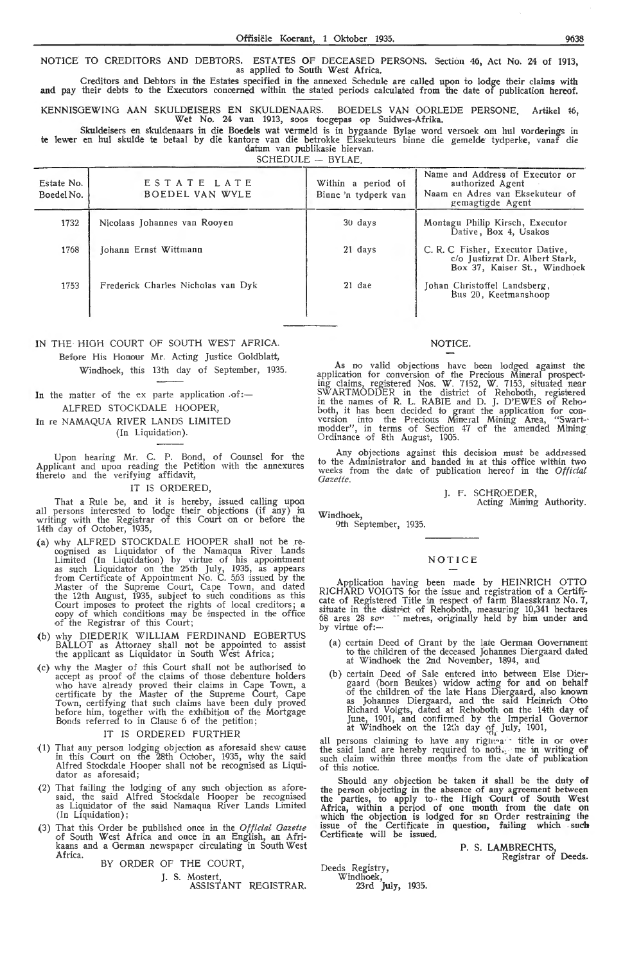Oi'fisiele Koerant, 1 Oktober 1935. 9638

NOTICE TO CREDITORS AND DEBTORS. ESTATES OF DECEASED PERSONS. Section 46, Act No. 24 of 1913, as applied to South West Africa.

Creditors and Debtors in the Estates specified in the annexed Schedule are called upon to lodge their claims with and pay their debts to the Executors concerned within the stated periods calculated from the date of publication hereof.

KENNISOEWINO AAN SKULDEISERS EN SKULDENAARS. BOEDELS VAN OORLEDE PERSONE. Artikel 16, Wet No. 24 van 1913, soos toegepas op Suidwes-Afrika.

Skuldeisers en skuldenaars in die Boedels wat vermeld is in bygaande Bylae word versoek om hul vorderings in te lewer en hul skulde te betaal by die kantore van die betrokke Eksekuteurs binne die gemelde tydperke, vanaf die datum van publikasie hiervan.

SCHEDULE - BYLAE.

| Estate No.<br>Boedel No. | ESTATE LATE<br><b>BOEDEL VAN WYLE</b> | Within a period of<br>Binne 'n tydperk van | Name and Address of Executor or<br>authorized Agent<br>Naam en Adres van Eksekuteur of<br>gemagtigde Agent |
|--------------------------|---------------------------------------|--------------------------------------------|------------------------------------------------------------------------------------------------------------|
| 1732                     | Nicolaas Johannes van Rooyen          | 30 days                                    | Montagu Philip Kirsch, Executor<br>Dative, Box 4, Usakos                                                   |
| 1768                     | Johann Ernst Wittmann                 | 21 days                                    | C. R. C. Fisher, Executor Dative,<br>c/o Justizrat Dr. Albert Stark,<br>Box 37, Kaiser St., Windhoek       |
| 1753                     | Frederick Charles Nicholas van Dyk    | $21$ dae                                   | Johan Christoffel Landsberg,<br>Bus 20, Keetmanshoop                                                       |

IN THE HIGH COURT OF SOUTH WEST AFRICA. Before His Honour Mr. Acting Justice Goldblatt, Windhoek, this 13th day of September, 1935.

In the matter of the ex parte application  $of:-$ ALFRED STOCKDALE HOOPER,

## In re NAMAQUA RIVER LANDS LIMITED (In Liquidation).

Upon hearing Mr. C. P. Bond, of Counsel for the Applicant and upon reading the Petition with the annexures<br>thereto and the verifying affidavit,

## IT IS ORDERED,

That a Rule be, and it is hereby, issued calling upon all persons interested to lodge their objections (if any) in<br>writing with the Registrar of this Court on or before the 14th day of October, 1935,

- (a) why ALFRED STOCKDALE HOOPER shall not be re- oognised as Liquidator of the Namaqua River Lands Limited (In Liquidation) by virtue of his appointment as such Liquidator on the 25th July, 1935, as appears from Certificate of Appointment No. C. 563 issued by the Master of the Supreme Court, Cape Town, and dated -the 12th August, 1935, subject to such conditions as this Court imposes to protect the rights of local creditors; a copy of which conditions may be inspected in the office of the Registrar of this Court;
- (b) why DIEDERIK WILLIAM FERDINAND EGBERTUS BALLOT as Attorney shall not be appointed to assist the applicant as Liquidator in South West Africa;
- (c) why the MasJer of this Court shall not be authorised to accept as proof of the claims of those debenture holders who have already proved their claims in Cape Town, a certificate by the Master of the Supreme Court, Cape Town, certifying that such claims have been duly proved before him, together with the exhibition of the Mortgage Bonds referred to in Clause 6 of the petition;

## IT IS ORDERED FURTHER

- -(1) That any person lodging objection as aforesaid shew cause in this Court on the 28th October, 1935, why the said Alfred Stockdale Hooper shall not be recognised as Liquidator as aforesaid;
- (2) That failing the lodging of any such objection as aforesaid, the said Alfred Stockdale Hooper be recognised as Liquidator of the saud Namaqua River 'Lands Limited (In Liquidation);
- (3) That this Order be published once in the *Official Gazette*  of South West Africa and once in an English, an Afrikaans and a German newspaper circulating in South West Africa.

BY ORDER OF THE COURT,

J. S. Mostert, ASSISTANT REGISTRAR.

## NOTICE.

As no valid objections have been lodged against the application for conversion of the Precious Mineral prospecting claims, registered Nos. W. 7152, W. 7153, situated near SWARTMODDER in the district of Rehoboth, registered in the names of R. L. RABIE and D. J. D'EWES of Rehoboth, it has been decided to grant the application for con-<br>version into the Precious Mineral Mining Area, "Swart-·<br>modder", in terms of Section 47 of the amended Mining Ordinance of 8th August, 1905.

Any objections against this decision must be addressed to the Administrator and handed in at this office within two weeks from the date of publication hereof in the Official *Gazette.* 

J. F. SCHROEDER,

Acting Mining Authority.

Windhoek,

9th September, 1935.

## **NOTICE**

Application having been made by HEINRICH OTTO RICHARD VOIGTS for the issue and registration of a Certifi-<br>cate of Registered Title in respect of farm Blaesskranz No. 7, situate in the district of Rehoboth, measuring 10,341 hectares 68 ares 28 son " metres, originally held by him under and by virtue of:-

- $(a)$  certain Deed of Grant by the late German Government to the children of the deceased Johannes Diergaard dated at Windhoek the 2nd November, 1894, and
- (b) certain Deed of Sale entered into between Else Diergaard (born Beukes) widow acting for and on behalf of the children of the late Hans Die-rgaard, also known as Johannes Diergaard, and the said Heinrich Otto Richard Voigts, dated at Rehoboth on the 14th day of June, 1901, and confirmed by the Imperial Governor<br>at Windhoek on the 12th day of July, 1901,

all persons claiming to have any righted it title in or over the said land are hereby required to noti. me in writing of such claim within three months from the date of publication of this notice.

Should any objection be taken it shall be the duty of the person objecting in the absence of any agreement between the parties, to apply to the High Court of South West Africa, within a period of one month from the date on which the objection is lodged for an Order restraining the issue of the Certificate in question, failing which such Certificate will *be* issued.

> P. S. LAMBRECHTS, Registrar of Deeds.

Deeds Registry, Windhoek, 23rd July, 1935.